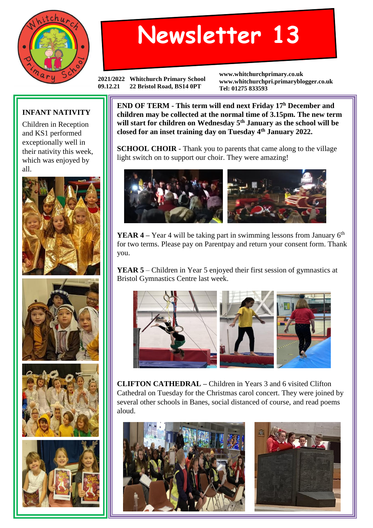

## **Newsletter 13**

**2021/2022 Whitchurch Primary School 09.12.21 22 Bristol Road, BS14 0PT**

**www.whitchurchprimary.co.uk www.whitchurchpri.primaryblogger.co.uk Tel: 01275 833593**

## **INFANT NATIVITY**

Children in Reception and KS1 performed exceptionally well in their nativity this week, which was enjoyed by all.









**END OF TERM - This term will end next Friday 17<sup>h</sup> December and children may be collected at the normal time of 3.15pm. The new term will start for children on Wednesday 5th January as the school will be closed for an inset training day on Tuesday 4th January 2022.**

**SCHOOL CHOIR** - Thank you to parents that came along to the village light switch on to support our choir. They were amazing!



**YEAR 4** – Year 4 will be taking part in swimming lessons from January 6<sup>th</sup> for two terms. Please pay on Parentpay and return your consent form. Thank you.

**YEAR 5** – Children in Year 5 enjoyed their first session of gymnastics at Bristol Gymnastics Centre last week.



**CLIFTON CATHEDRAL –** Children in Years 3 and 6 visited Clifton Cathedral on Tuesday for the Christmas carol concert. They were joined by several other schools in Banes, social distanced of course, and read poems aloud.

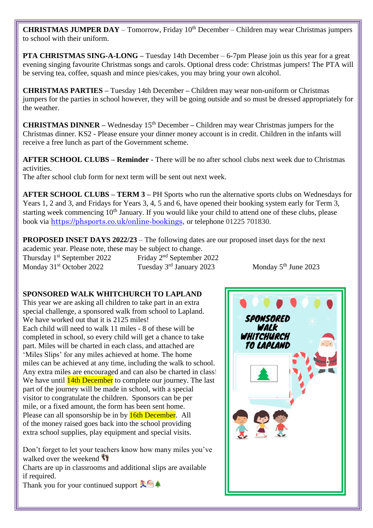**CHRISTMAS JUMPER DAY** – Tomorrow, Friday 10<sup>th</sup> December – Children may wear Christmas jumpers to school with their uniform.

**PTA CHRISTMAS SING-A-LONG –** Tuesday 14th December – 6-7pm Please join us this year for a great evening singing favourite Christmas songs and carols. Optional dress code: Christmas jumpers! The PTA will be serving tea, coffee, squash and mince pies/cakes, you may bring your own alcohol.

**CHRISTMAS PARTIES –** Tuesday 14th December **–** Children may wear non-uniform or Christmas jumpers for the parties in school however, they will be going outside and so must be dressed appropriately for the weather.

**CHRISTMAS DINNER** – Wednesday 15<sup>th</sup> December – Children may wear Christmas jumpers for the Christmas dinner. KS2 - Please ensure your dinner money account is in credit. Children in the infants will receive a free lunch as part of the Government scheme.

**AFTER SCHOOL CLUBS – Reminder -** There will be no after school clubs next week due to Christmas activities.

The after school club form for next term will be sent out next week.

**AFTER SCHOOL CLUBS – TERM 3 –** PH Sports who run the alternative sports clubs on Wednesdays for Years 1, 2 and 3, and Fridays for Years 3, 4, 5 and 6, have opened their booking system early for Term 3, starting week commencing  $10<sup>th</sup>$  January. If you would like your child to attend one of these clubs, please book via [https://phsports.co.uk/online-bookings,](https://phsports.co.uk/online-bookings) or telephone 01225 701830.

**PROPOSED INSET DAYS 2022/23** – The following dates are our proposed inset days for the next academic year. Please note, these may be subject to change.

Monday 31<sup>st</sup> October 2022 Tuesday 3<sup>rd</sup> January 2023 Monday 5<sup>th</sup> June 2023

Thursday 1st September 2022 Friday 2nd September 2022

## **SPONSORED WALK WHITCHURCH TO LAPLAND**

This year we are asking all children to take part in an extra special challenge, a sponsored walk from school to Lapland. We have worked out that it is 2125 miles! Each child will need to walk 11 miles - 8 of these will be completed in school, so every child will get a chance to take part. Miles will be charted in each class, and attached are 'Miles Slips' for any miles achieved at home. The home miles can be achieved at any time, including the walk to school. Any extra miles are encouraged and can also be charted in class! We have until **14th December** to complete our journey. The last part of the journey will be made in school, with a special visitor to congratulate the children. Sponsors can be per mile, or a fixed amount, the form has been sent home. Please can all sponsorship be in by **16th December.** All of the money raised goes back into the school providing extra school supplies, play equipment and special visits.

Don't forget to let your teachers know how many miles you've walked over the weekend

Charts are up in classrooms and additional slips are available if required.

Thank you for your continued support  $\mathbb{Z}^6$